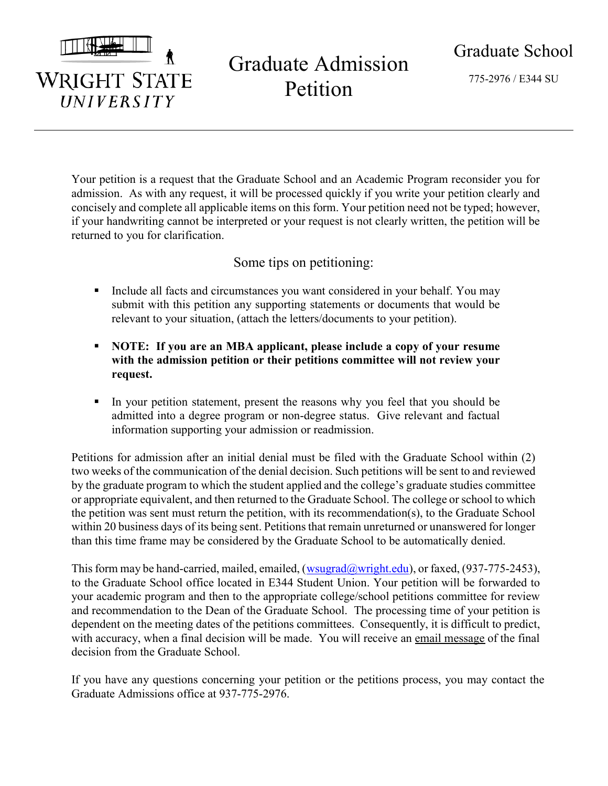

**WRIGHT STATE** 

UNIVERSITY

# Graduate Admission Petition

775-2976 / E344 SU

Your petition is a request that the Graduate School and an Academic Program reconsider you for admission. As with any request, it will be processed quickly if you write your petition clearly and concisely and complete all applicable items on this form. Your petition need not be typed; however, if your handwriting cannot be interpreted or your request is not clearly written, the petition will be returned to you for clarification.

## Some tips on petitioning:

- Include all facts and circumstances you want considered in your behalf. You may submit with this petition any supporting statements or documents that would be relevant to your situation, (attach the letters/documents to your petition).
- NOTE: If you are an MBA applicant, please include a copy of your resume with the admission petition or their petitions committee will not review your request.
- In your petition statement, present the reasons why you feel that you should be admitted into a degree program or non-degree status. Give relevant and factual information supporting your admission or readmission.

Petitions for admission after an initial denial must be filed with the Graduate School within (2) two weeks of the communication of the denial decision. Such petitions will be sent to and reviewed by the graduate program to which the student applied and the college's graduate studies committee or appropriate equivalent, and then returned to the Graduate School. The college or school to which the petition was sent must return the petition, with its recommendation(s), to the Graduate School within 20 business days of its being sent. Petitions that remain unreturned or unanswered for longer than this time frame may be considered by the Graduate School to be automatically denied.

This form may be hand-carried, mailed, emailed,  $(wsugrad@wright.edu)$ , or faxed,  $(937-775-2453)$ , to the Graduate School office located in E344 Student Union. Your petition will be forwarded to your academic program and then to the appropriate college/school petitions committee for review and recommendation to the Dean of the Graduate School. The processing time of your petition is dependent on the meeting dates of the petitions committees. Consequently, it is difficult to predict, with accuracy, when a final decision will be made. You will receive an email message of the final decision from the Graduate School.

If you have any questions concerning your petition or the petitions process, you may contact the Graduate Admissions office at 937-775-2976.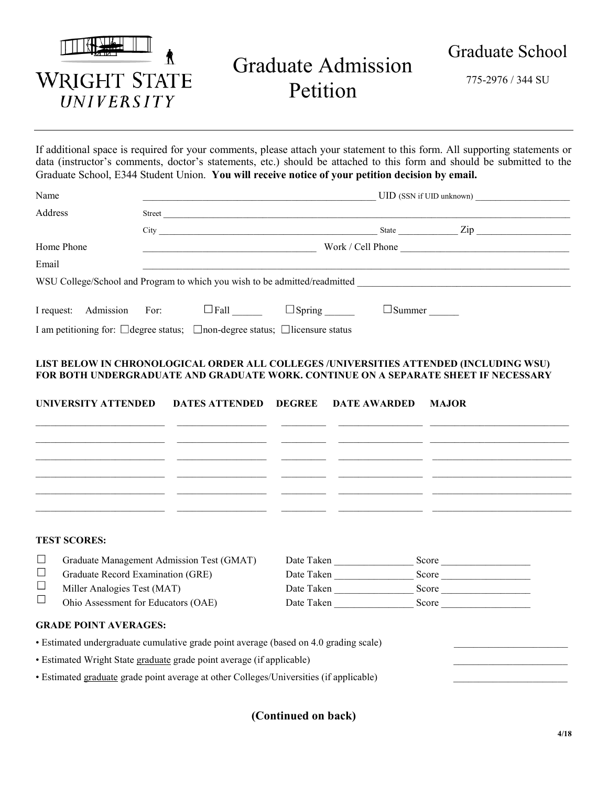|                                          | Graduate Admission<br>Petition | Graduate School   |
|------------------------------------------|--------------------------------|-------------------|
| <b>WRIGHT STATE</b><br><i>UNIVERSITY</i> |                                | 775-2976 / 344 SU |

If additional space is required for your comments, please attach your statement to this form. All supporting statements or data (instructor's comments, doctor's statements, etc.) should be attached to this form and should be submitted to the Graduate School, E344 Student Union. You will receive notice of your petition decision by email.

| Name                                                                                          | UID (SSN if UID unknown) |                                                |  |                   |           |
|-----------------------------------------------------------------------------------------------|--------------------------|------------------------------------------------|--|-------------------|-----------|
| Address                                                                                       | Street                   |                                                |  |                   |           |
|                                                                                               |                          | City <b>Carlos Communication Communication</b> |  |                   | State Zip |
| Home Phone                                                                                    |                          |                                                |  | Work / Cell Phone |           |
| Email                                                                                         |                          |                                                |  |                   |           |
| WSU College/School and Program to which you wish to be admitted/readmitted                    |                          |                                                |  |                   |           |
| I request: Admission For:                                                                     |                          | $\Box$ Fall                                    |  | $\Box$ Summer     |           |
| I am petitioning for: $\Box$ degree status; $\Box$ non-degree status; $\Box$ licensure status |                          |                                                |  |                   |           |

#### LIST BELOW IN CHRONOLOGICAL ORDER ALL COLLEGES /UNIVERSITIES ATTENDED (INCLUDING WSU) FOR BOTH UNDERGRADUATE AND GRADUATE WORK. CONTINUE ON A SEPARATE SHEET IF NECESSARY

|          | <b>UNIVERSITY ATTENDED</b>                | <b>DATES ATTENDED</b> | <b>DEGREE</b> | <b>DATE AWARDED</b> | <b>MAJOR</b> |
|----------|-------------------------------------------|-----------------------|---------------|---------------------|--------------|
|          |                                           |                       |               |                     |              |
|          |                                           |                       |               |                     |              |
|          |                                           |                       |               |                     |              |
|          |                                           |                       |               |                     |              |
|          |                                           |                       |               |                     |              |
|          |                                           |                       |               |                     |              |
|          | <b>TEST SCORES:</b>                       |                       |               |                     |              |
| $\Box$   | Graduate Management Admission Test (GMAT) |                       | Date Taken    |                     | Score        |
| $\sqcup$ | Graduate Record Examination (GRE)         |                       | Date Taken    |                     | Score        |
| $\Box$   | Miller Analogies Test (MAT)               |                       | Date Taken    |                     | Score        |
|          | Ohio Assessment for Educators (OAE)       |                       | Date Taken    |                     | Score        |

#### GRADE POINT AVERAGES:

• Estimated undergraduate cumulative grade point average (based on 4.0 grading scale)

• Estimated Wright State graduate grade point average (if applicable)

• Estimated graduate grade point average at other Colleges/Universities (if applicable)

### (Continued on back)